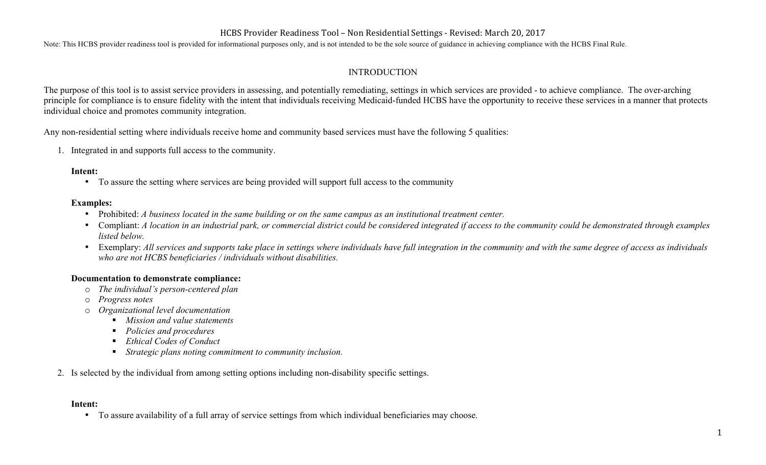## HCBS Provider Readiness Tool – Non Residential Settings - Revised: March 20, 2017

Note: This HCBS provider readiness tool is provided for informational purposes only, and is not intended to be the sole source of guidance in achieving compliance with the HCBS Final Rule.

## INTRODUCTION

The purpose of this tool is to assist service providers in assessing, and potentially remediating, settings in which services are provided - to achieve compliance. The over-arching principle for compliance is to ensure fidelity with the intent that individuals receiving Medicaid-funded HCBS have the opportunity to receive these services in a manner that protects individual choice and promotes community integration.

Any non-residential setting where individuals receive home and community based services must have the following 5 qualities:

1. Integrated in and supports full access to the community.

#### **Intent:**

• To assure the setting where services are being provided will support full access to the community

#### **Examples:**

- Prohibited: *A business located in the same building or on the same campus as an institutional treatment center.*
- Compliant: *A location in an industrial park, or commercial district could be considered integrated if access to the community could be demonstrated through examples listed below.*
- Exemplary: All services and supports take place in settings where individuals have full integration in the community and with the same degree of access as individuals *who are not HCBS beneficiaries / individuals without disabilities.*

### **Documentation to demonstrate compliance:**

- o *The individual's person-centered plan*
- *Progress notes*
- o *Organizational level documentation*
	- *Mission and value statements*
	- *Policies and procedures*
	- *Ethical Codes of Conduct*
	- § *Strategic plans noting commitment to community inclusion.*
- 2. Is selected by the individual from among setting options including non-disability specific settings.

#### **Intent:**

• To assure availability of a full array of service settings from which individual beneficiaries may choose.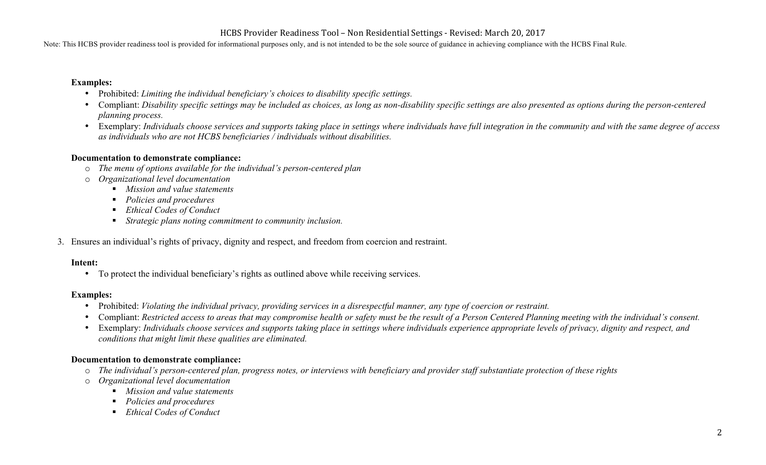Note: This HCBS provider readiness tool is provided for informational purposes only, and is not intended to be the sole source of guidance in achieving compliance with the HCBS Final Rule.

#### **Examples:**

- Prohibited: *Limiting the individual beneficiary's choices to disability specific settings.*
- Compliant: *Disability specific settings may be included as choices, as long as non-disability specific settings are also presented as options during the person-centered planning process.*
- Exemplary: *Individuals choose services and supports taking place in settings where individuals have full integration in the community and with the same degree of access as individuals who are not HCBS beneficiaries / individuals without disabilities.*

### **Documentation to demonstrate compliance:**

- o *The menu of options available for the individual's person-centered plan*
- o *Organizational level documentation*
	- *Mission and value statements*
	- *Policies and procedures*
	- *Ethical Codes of Conduct*
	- § *Strategic plans noting commitment to community inclusion.*
- 3. Ensures an individual's rights of privacy, dignity and respect, and freedom from coercion and restraint.

### **Intent:**

• To protect the individual beneficiary's rights as outlined above while receiving services.

### **Examples:**

- Prohibited: *Violating the individual privacy, providing services in a disrespectful manner, any type of coercion or restraint.*
- Compliant: *Restricted access to areas that may compromise health or safety must be the result of a Person Centered Planning meeting with the individual's consent.*
- Exemplary: *Individuals choose services and supports taking place in settings where individuals experience appropriate levels of privacy, dignity and respect, and conditions that might limit these qualities are eliminated.*

## **Documentation to demonstrate compliance:**

- o *The individual's person-centered plan, progress notes, or interviews with beneficiary and provider staff substantiate protection of these rights*
- o *Organizational level documentation*
	- *Mission and value statements*
	- § *Policies and procedures*
	- *Ethical Codes of Conduct*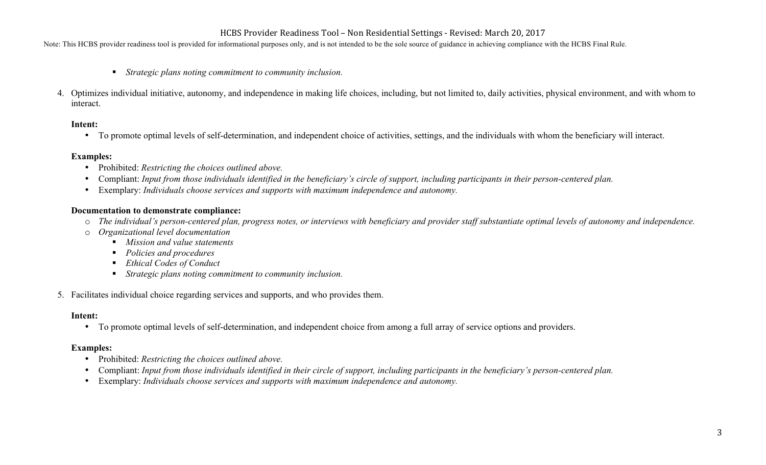Note: This HCBS provider readiness tool is provided for informational purposes only, and is not intended to be the sole source of guidance in achieving compliance with the HCBS Final Rule.

- *Strategic plans noting commitment to community inclusion.*
- 4. Optimizes individual initiative, autonomy, and independence in making life choices, including, but not limited to, daily activities, physical environment, and with whom to interact.

#### **Intent:**

• To promote optimal levels of self-determination, and independent choice of activities, settings, and the individuals with whom the beneficiary will interact.

## **Examples:**

- Prohibited: *Restricting the choices outlined above.*
- Compliant: *Input from those individuals identified in the beneficiary's circle of support, including participants in their person-centered plan.*
- Exemplary: *Individuals choose services and supports with maximum independence and autonomy.*

### **Documentation to demonstrate compliance:**

- o *The individual's person-centered plan, progress notes, or interviews with beneficiary and provider staff substantiate optimal levels of autonomy and independence.*
- o *Organizational level documentation*
	- § *Mission and value statements*
	- § *Policies and procedures*
	- *Ethical Codes of Conduct*
	- *Strategic plans noting commitment to community inclusion.*
- 5. Facilitates individual choice regarding services and supports, and who provides them.

### **Intent:**

• To promote optimal levels of self-determination, and independent choice from among a full array of service options and providers.

## **Examples:**

- Prohibited: *Restricting the choices outlined above.*
- Compliant: *Input from those individuals identified in their circle of support, including participants in the beneficiary's person-centered plan.*
- Exemplary: *Individuals choose services and supports with maximum independence and autonomy.*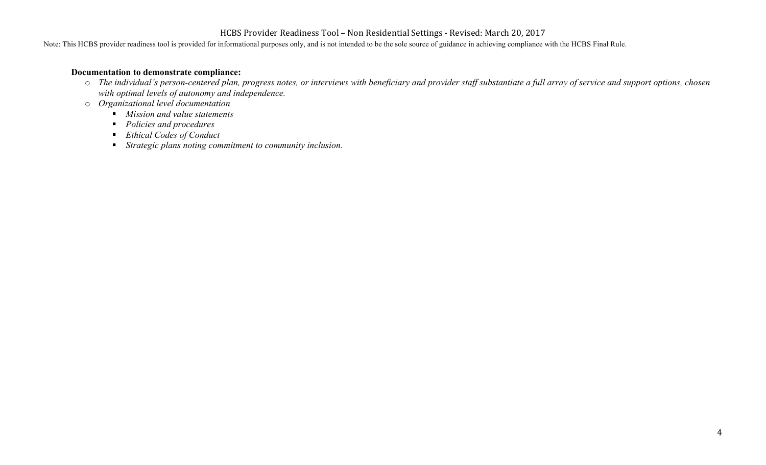Note: This HCBS provider readiness tool is provided for informational purposes only, and is not intended to be the sole source of guidance in achieving compliance with the HCBS Final Rule.

#### **Documentation to demonstrate compliance:**

- o *The individual's person-centered plan, progress notes, or interviews with beneficiary and provider staff substantiate a full array of service and support options, chosen with optimal levels of autonomy and independence.*
- o *Organizational level documentation*
	- § *Mission and value statements*
	- § *Policies and procedures*
	- *Ethical Codes of Conduct*
	- § *Strategic plans noting commitment to community inclusion.*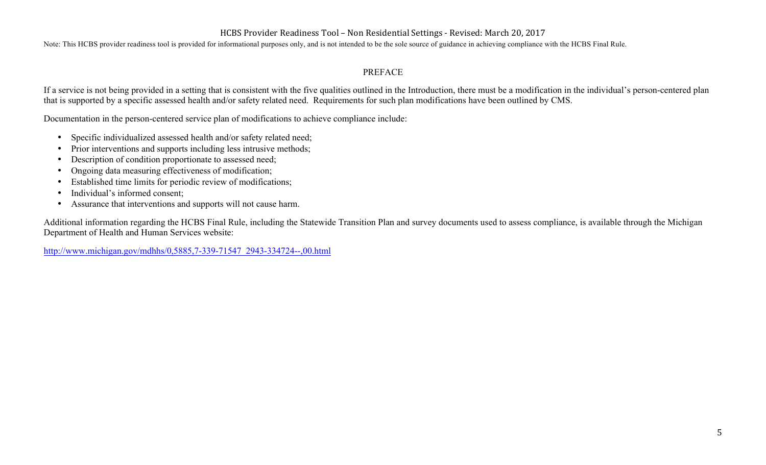Note: This HCBS provider readiness tool is provided for informational purposes only, and is not intended to be the sole source of guidance in achieving compliance with the HCBS Final Rule.

## PREFACE

If a service is not being provided in a setting that is consistent with the five qualities outlined in the Introduction, there must be a modification in the individual's person-centered plan that is supported by a specific assessed health and/or safety related need. Requirements for such plan modifications have been outlined by CMS.

Documentation in the person-centered service plan of modifications to achieve compliance include:

- Specific individualized assessed health and/or safety related need;
- Prior interventions and supports including less intrusive methods;
- Description of condition proportionate to assessed need;
- Ongoing data measuring effectiveness of modification;
- Established time limits for periodic review of modifications;
- Individual's informed consent;
- Assurance that interventions and supports will not cause harm.

Additional information regarding the HCBS Final Rule, including the Statewide Transition Plan and survey documents used to assess compliance, is available through the Michigan Department of Health and Human Services website:

http://www.michigan.gov/mdhhs/0,5885,7-339-71547\_2943-334724--,00.html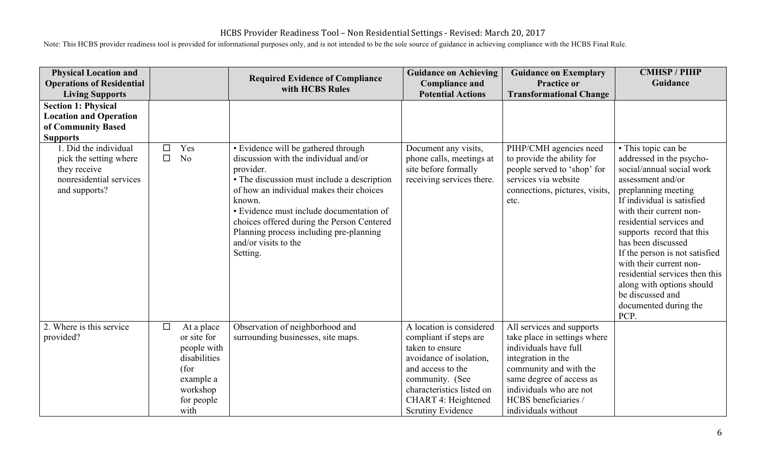| <b>Physical Location and</b><br><b>Operations of Residential</b><br><b>Living Supports</b>                  |             |                                                                                                                 | <b>Required Evidence of Compliance</b><br>with HCBS Rules                                                                                                                                                                                                                                                                                                               | <b>Guidance on Achieving</b><br><b>Compliance and</b><br><b>Potential Actions</b>                                                                                                                                               | <b>Guidance on Exemplary</b><br><b>Practice or</b><br><b>Transformational Change</b>                                                                                                                                                     | <b>CMHSP/PIHP</b><br>Guidance                                                                                                                                                                                                                                                                                                                                                                                                                     |
|-------------------------------------------------------------------------------------------------------------|-------------|-----------------------------------------------------------------------------------------------------------------|-------------------------------------------------------------------------------------------------------------------------------------------------------------------------------------------------------------------------------------------------------------------------------------------------------------------------------------------------------------------------|---------------------------------------------------------------------------------------------------------------------------------------------------------------------------------------------------------------------------------|------------------------------------------------------------------------------------------------------------------------------------------------------------------------------------------------------------------------------------------|---------------------------------------------------------------------------------------------------------------------------------------------------------------------------------------------------------------------------------------------------------------------------------------------------------------------------------------------------------------------------------------------------------------------------------------------------|
| <b>Section 1: Physical</b><br><b>Location and Operation</b><br>of Community Based<br><b>Supports</b>        |             |                                                                                                                 |                                                                                                                                                                                                                                                                                                                                                                         |                                                                                                                                                                                                                                 |                                                                                                                                                                                                                                          |                                                                                                                                                                                                                                                                                                                                                                                                                                                   |
| 1. Did the individual<br>pick the setting where<br>they receive<br>nonresidential services<br>and supports? | □<br>$\Box$ | Yes<br>N <sub>0</sub>                                                                                           | • Evidence will be gathered through<br>discussion with the individual and/or<br>provider.<br>• The discussion must include a description<br>of how an individual makes their choices<br>known.<br>• Evidence must include documentation of<br>choices offered during the Person Centered<br>Planning process including pre-planning<br>and/or visits to the<br>Setting. | Document any visits,<br>phone calls, meetings at<br>site before formally<br>receiving services there.                                                                                                                           | PIHP/CMH agencies need<br>to provide the ability for<br>people served to 'shop' for<br>services via website<br>connections, pictures, visits,<br>etc.                                                                                    | • This topic can be<br>addressed in the psycho-<br>social/annual social work<br>assessment and/or<br>preplanning meeting<br>If individual is satisfied<br>with their current non-<br>residential services and<br>supports record that this<br>has been discussed<br>If the person is not satisfied<br>with their current non-<br>residential services then this<br>along with options should<br>be discussed and<br>documented during the<br>PCP. |
| 2. Where is this service<br>provided?                                                                       | $\Box$      | At a place<br>or site for<br>people with<br>disabilities<br>(for<br>example a<br>workshop<br>for people<br>with | Observation of neighborhood and<br>surrounding businesses, site maps.                                                                                                                                                                                                                                                                                                   | A location is considered<br>compliant if steps are<br>taken to ensure<br>avoidance of isolation,<br>and access to the<br>community. (See<br>characteristics listed on<br><b>CHART 4: Heightened</b><br><b>Scrutiny Evidence</b> | All services and supports<br>take place in settings where<br>individuals have full<br>integration in the<br>community and with the<br>same degree of access as<br>individuals who are not<br>HCBS beneficiaries /<br>individuals without |                                                                                                                                                                                                                                                                                                                                                                                                                                                   |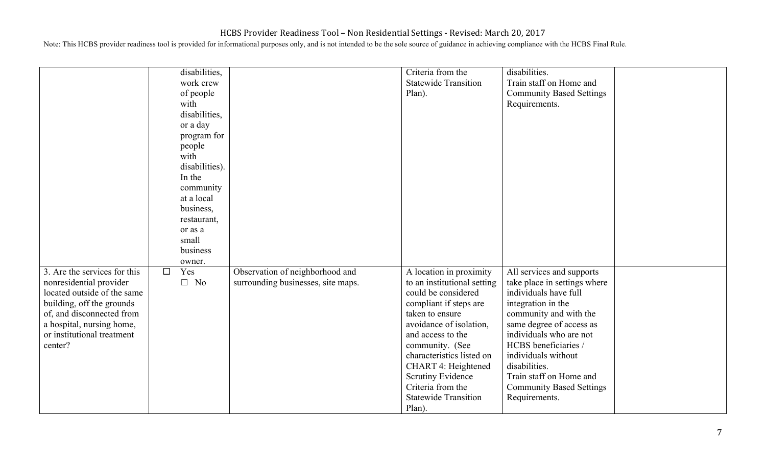|                                                                                                                                                                                                                        |        | disabilities,<br>work crew<br>of people<br>with<br>disabilities,<br>or a day<br>program for<br>people<br>with<br>disabilities).<br>In the<br>community<br>at a local<br>business,<br>restaurant,<br>or as a<br>small<br>business |                                                                       | Criteria from the<br><b>Statewide Transition</b><br>Plan).                                                                                                                                                                                                                                                                                  | disabilities.<br>Train staff on Home and<br><b>Community Based Settings</b><br>Requirements.                                                                                                                                                                                                                                             |  |
|------------------------------------------------------------------------------------------------------------------------------------------------------------------------------------------------------------------------|--------|----------------------------------------------------------------------------------------------------------------------------------------------------------------------------------------------------------------------------------|-----------------------------------------------------------------------|---------------------------------------------------------------------------------------------------------------------------------------------------------------------------------------------------------------------------------------------------------------------------------------------------------------------------------------------|------------------------------------------------------------------------------------------------------------------------------------------------------------------------------------------------------------------------------------------------------------------------------------------------------------------------------------------|--|
| 3. Are the services for this<br>nonresidential provider<br>located outside of the same<br>building, off the grounds<br>of, and disconnected from<br>a hospital, nursing home,<br>or institutional treatment<br>center? | $\Box$ | owner.<br>Yes<br>$\Box$ No                                                                                                                                                                                                       | Observation of neighborhood and<br>surrounding businesses, site maps. | A location in proximity<br>to an institutional setting<br>could be considered<br>compliant if steps are<br>taken to ensure<br>avoidance of isolation,<br>and access to the<br>community. (See<br>characteristics listed on<br>CHART 4: Heightened<br><b>Scrutiny Evidence</b><br>Criteria from the<br><b>Statewide Transition</b><br>Plan). | All services and supports<br>take place in settings where<br>individuals have full<br>integration in the<br>community and with the<br>same degree of access as<br>individuals who are not<br>HCBS beneficiaries /<br>individuals without<br>disabilities.<br>Train staff on Home and<br><b>Community Based Settings</b><br>Requirements. |  |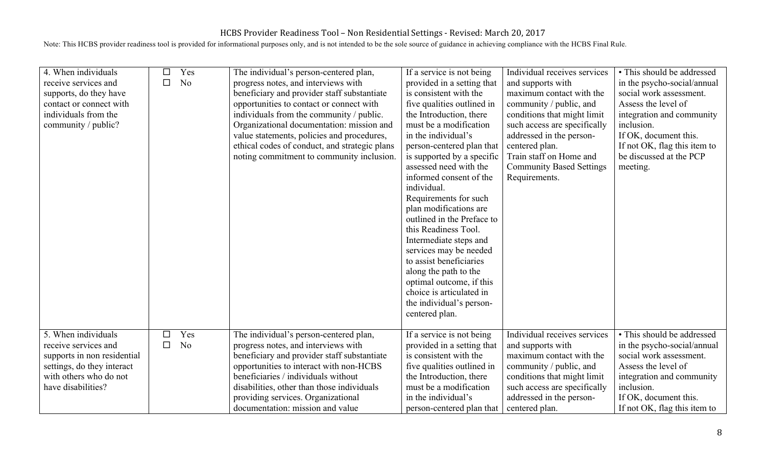| 4. When individuals<br>receive services and<br>supports, do they have<br>contact or connect with<br>individuals from the<br>community / public? | □<br>□ | Yes<br>N <sub>o</sub> | The individual's person-centered plan,<br>progress notes, and interviews with<br>beneficiary and provider staff substantiate<br>opportunities to contact or connect with<br>individuals from the community / public.<br>Organizational documentation: mission and<br>value statements, policies and procedures,<br>ethical codes of conduct, and strategic plans<br>noting commitment to community inclusion. | If a service is not being<br>provided in a setting that<br>is consistent with the<br>five qualities outlined in<br>the Introduction, there<br>must be a modification<br>in the individual's<br>person-centered plan that<br>is supported by a specific<br>assessed need with the<br>informed consent of the<br>individual.<br>Requirements for such<br>plan modifications are<br>outlined in the Preface to<br>this Readiness Tool.<br>Intermediate steps and<br>services may be needed<br>to assist beneficiaries<br>along the path to the<br>optimal outcome, if this<br>choice is articulated in<br>the individual's person-<br>centered plan. | Individual receives services<br>and supports with<br>maximum contact with the<br>community / public, and<br>conditions that might limit<br>such access are specifically<br>addressed in the person-<br>centered plan.<br>Train staff on Home and<br><b>Community Based Settings</b><br>Requirements. | • This should be addressed<br>in the psycho-social/annual<br>social work assessment.<br>Assess the level of<br>integration and community<br>inclusion.<br>If OK, document this.<br>If not OK, flag this item to<br>be discussed at the PCP<br>meeting. |
|-------------------------------------------------------------------------------------------------------------------------------------------------|--------|-----------------------|---------------------------------------------------------------------------------------------------------------------------------------------------------------------------------------------------------------------------------------------------------------------------------------------------------------------------------------------------------------------------------------------------------------|---------------------------------------------------------------------------------------------------------------------------------------------------------------------------------------------------------------------------------------------------------------------------------------------------------------------------------------------------------------------------------------------------------------------------------------------------------------------------------------------------------------------------------------------------------------------------------------------------------------------------------------------------|------------------------------------------------------------------------------------------------------------------------------------------------------------------------------------------------------------------------------------------------------------------------------------------------------|--------------------------------------------------------------------------------------------------------------------------------------------------------------------------------------------------------------------------------------------------------|
| 5. When individuals                                                                                                                             | □      | Yes                   | The individual's person-centered plan,                                                                                                                                                                                                                                                                                                                                                                        | If a service is not being                                                                                                                                                                                                                                                                                                                                                                                                                                                                                                                                                                                                                         | Individual receives services                                                                                                                                                                                                                                                                         | • This should be addressed                                                                                                                                                                                                                             |
| receive services and<br>supports in non residential<br>settings, do they interact<br>with others who do not<br>have disabilities?               | □      | N <sub>o</sub>        | progress notes, and interviews with<br>beneficiary and provider staff substantiate<br>opportunities to interact with non-HCBS<br>beneficiaries / individuals without<br>disabilities, other than those individuals<br>providing services. Organizational<br>documentation: mission and value                                                                                                                  | provided in a setting that<br>is consistent with the<br>five qualities outlined in<br>the Introduction, there<br>must be a modification<br>in the individual's<br>person-centered plan that                                                                                                                                                                                                                                                                                                                                                                                                                                                       | and supports with<br>maximum contact with the<br>community / public, and<br>conditions that might limit<br>such access are specifically<br>addressed in the person-<br>centered plan.                                                                                                                | in the psycho-social/annual<br>social work assessment.<br>Assess the level of<br>integration and community<br>inclusion.<br>If OK, document this.<br>If not OK, flag this item to                                                                      |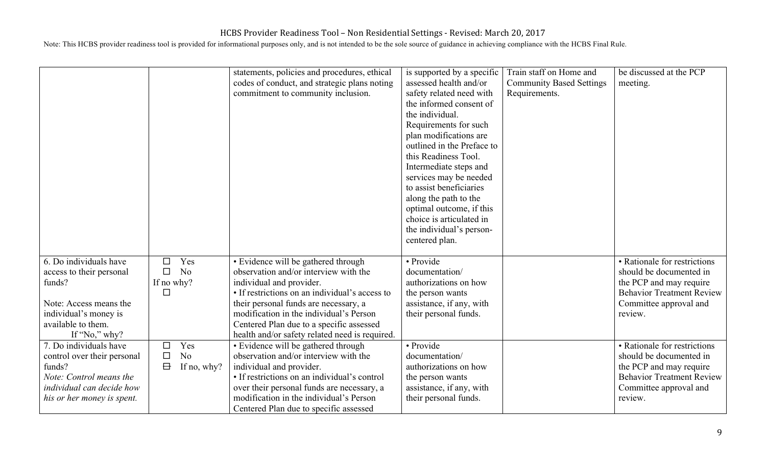|                                                                                                                                                        |                                |                          | statements, policies and procedures, ethical<br>codes of conduct, and strategic plans noting<br>commitment to community inclusion.                                                                                                                                                                                                           | is supported by a specific<br>assessed health and/or<br>safety related need with<br>the informed consent of<br>the individual.<br>Requirements for such<br>plan modifications are<br>outlined in the Preface to<br>this Readiness Tool.<br>Intermediate steps and<br>services may be needed<br>to assist beneficiaries<br>along the path to the<br>optimal outcome, if this<br>choice is articulated in<br>the individual's person-<br>centered plan. | Train staff on Home and<br><b>Community Based Settings</b><br>Requirements. | be discussed at the PCP<br>meeting.                                                                                                                         |
|--------------------------------------------------------------------------------------------------------------------------------------------------------|--------------------------------|--------------------------|----------------------------------------------------------------------------------------------------------------------------------------------------------------------------------------------------------------------------------------------------------------------------------------------------------------------------------------------|-------------------------------------------------------------------------------------------------------------------------------------------------------------------------------------------------------------------------------------------------------------------------------------------------------------------------------------------------------------------------------------------------------------------------------------------------------|-----------------------------------------------------------------------------|-------------------------------------------------------------------------------------------------------------------------------------------------------------|
| 6. Do individuals have<br>access to their personal<br>funds?<br>Note: Access means the<br>individual's money is<br>available to them.<br>If "No," why? | П<br>$\Box$<br>If no why?<br>П | Yes<br>N <sub>o</sub>    | • Evidence will be gathered through<br>observation and/or interview with the<br>individual and provider.<br>• If restrictions on an individual's access to<br>their personal funds are necessary, a<br>modification in the individual's Person<br>Centered Plan due to a specific assessed<br>health and/or safety related need is required. | • Provide<br>documentation/<br>authorizations on how<br>the person wants<br>assistance, if any, with<br>their personal funds.                                                                                                                                                                                                                                                                                                                         |                                                                             | • Rationale for restrictions<br>should be documented in<br>the PCP and may require<br><b>Behavior Treatment Review</b><br>Committee approval and<br>review. |
| 7. Do individuals have<br>control over their personal<br>funds?<br>Note: Control means the<br>individual can decide how<br>his or her money is spent.  | □<br>□<br>$\Box$               | Yes<br>No<br>If no, why? | • Evidence will be gathered through<br>observation and/or interview with the<br>individual and provider.<br>• If restrictions on an individual's control<br>over their personal funds are necessary, a<br>modification in the individual's Person<br>Centered Plan due to specific assessed                                                  | • Provide<br>documentation/<br>authorizations on how<br>the person wants<br>assistance, if any, with<br>their personal funds.                                                                                                                                                                                                                                                                                                                         |                                                                             | • Rationale for restrictions<br>should be documented in<br>the PCP and may require<br><b>Behavior Treatment Review</b><br>Committee approval and<br>review. |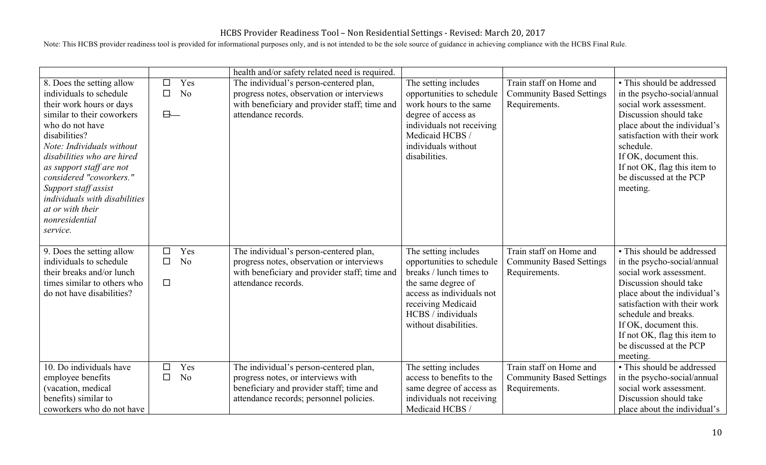|                                                                                                                                                                                                                                                                                                                                                                                 |                                |                       | health and/or safety related need is required.                                                                                                                      |                                                                                                                                                                                                      |                                                                             |                                                                                                                                                                                                                                                                                                        |
|---------------------------------------------------------------------------------------------------------------------------------------------------------------------------------------------------------------------------------------------------------------------------------------------------------------------------------------------------------------------------------|--------------------------------|-----------------------|---------------------------------------------------------------------------------------------------------------------------------------------------------------------|------------------------------------------------------------------------------------------------------------------------------------------------------------------------------------------------------|-----------------------------------------------------------------------------|--------------------------------------------------------------------------------------------------------------------------------------------------------------------------------------------------------------------------------------------------------------------------------------------------------|
| 8. Does the setting allow<br>individuals to schedule<br>their work hours or days<br>similar to their coworkers<br>who do not have<br>disabilities?<br>Note: Individuals without<br>disabilities who are hired<br>as support staff are not<br>considered "coworkers."<br>Support staff assist<br>individuals with disabilities<br>at or with their<br>nonresidential<br>service. | $\Box$<br>$\Box$<br>$\theta -$ | Yes<br>N <sub>o</sub> | The individual's person-centered plan,<br>progress notes, observation or interviews<br>with beneficiary and provider staff; time and<br>attendance records.         | The setting includes<br>opportunities to schedule<br>work hours to the same<br>degree of access as<br>individuals not receiving<br>Medicaid HCBS /<br>individuals without<br>disabilities.           | Train staff on Home and<br><b>Community Based Settings</b><br>Requirements. | • This should be addressed<br>in the psycho-social/annual<br>social work assessment.<br>Discussion should take<br>place about the individual's<br>satisfaction with their work<br>schedule.<br>If OK, document this.<br>If not OK, flag this item to<br>be discussed at the PCP<br>meeting.            |
| 9. Does the setting allow<br>individuals to schedule<br>their breaks and/or lunch<br>times similar to others who<br>do not have disabilities?                                                                                                                                                                                                                                   | $\Box$<br>$\Box$<br>$\Box$     | Yes<br>N <sub>o</sub> | The individual's person-centered plan,<br>progress notes, observation or interviews<br>with beneficiary and provider staff; time and<br>attendance records.         | The setting includes<br>opportunities to schedule<br>breaks / lunch times to<br>the same degree of<br>access as individuals not<br>receiving Medicaid<br>HCBS / individuals<br>without disabilities. | Train staff on Home and<br><b>Community Based Settings</b><br>Requirements. | • This should be addressed<br>in the psycho-social/annual<br>social work assessment.<br>Discussion should take<br>place about the individual's<br>satisfaction with their work<br>schedule and breaks.<br>If OK, document this.<br>If not OK, flag this item to<br>be discussed at the PCP<br>meeting. |
| 10. Do individuals have<br>employee benefits<br>(vacation, medical<br>benefits) similar to<br>coworkers who do not have                                                                                                                                                                                                                                                         | □<br>□                         | Yes<br>N <sub>0</sub> | The individual's person-centered plan,<br>progress notes, or interviews with<br>beneficiary and provider staff; time and<br>attendance records; personnel policies. | The setting includes<br>access to benefits to the<br>same degree of access as<br>individuals not receiving<br>Medicaid HCBS/                                                                         | Train staff on Home and<br><b>Community Based Settings</b><br>Requirements. | • This should be addressed<br>in the psycho-social/annual<br>social work assessment.<br>Discussion should take<br>place about the individual's                                                                                                                                                         |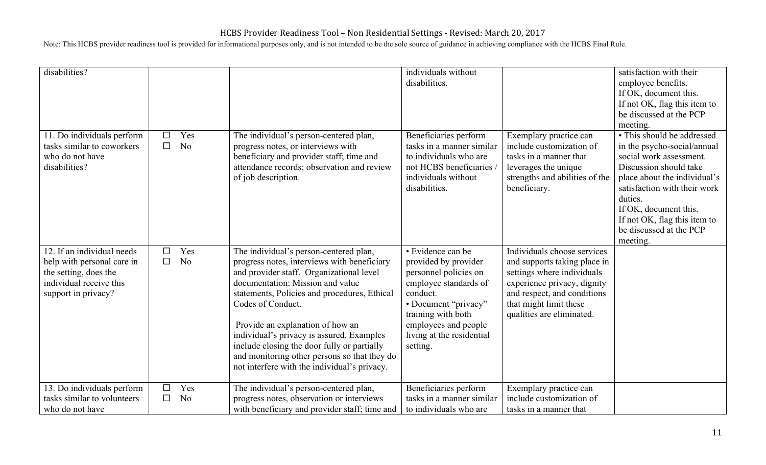| disabilities?                                                                                                                       |                  |                       |                                                                                                                                                                                                                                                                                                                                                                                                                                                                            | individuals without<br>disabilities.                                                                                                                                                                                   |                                                                                                                                                                                                                | satisfaction with their<br>employee benefits.<br>If OK, document this.<br>If not OK, flag this item to<br>be discussed at the PCP<br>meeting.                                                                                                                                             |
|-------------------------------------------------------------------------------------------------------------------------------------|------------------|-----------------------|----------------------------------------------------------------------------------------------------------------------------------------------------------------------------------------------------------------------------------------------------------------------------------------------------------------------------------------------------------------------------------------------------------------------------------------------------------------------------|------------------------------------------------------------------------------------------------------------------------------------------------------------------------------------------------------------------------|----------------------------------------------------------------------------------------------------------------------------------------------------------------------------------------------------------------|-------------------------------------------------------------------------------------------------------------------------------------------------------------------------------------------------------------------------------------------------------------------------------------------|
| 11. Do individuals perform<br>tasks similar to coworkers<br>who do not have<br>disabilities?                                        | $\Box$<br>$\Box$ | Yes<br>N <sub>o</sub> | The individual's person-centered plan,<br>progress notes, or interviews with<br>beneficiary and provider staff; time and<br>attendance records; observation and review<br>of job description.                                                                                                                                                                                                                                                                              | Beneficiaries perform<br>tasks in a manner similar<br>to individuals who are<br>not HCBS beneficiaries<br>individuals without<br>disabilities.                                                                         | Exemplary practice can<br>include customization of<br>tasks in a manner that<br>leverages the unique<br>strengths and abilities of the<br>beneficiary.                                                         | • This should be addressed<br>in the psycho-social/annual<br>social work assessment.<br>Discussion should take<br>place about the individual's<br>satisfaction with their work<br>duties.<br>If OK, document this.<br>If not OK, flag this item to<br>be discussed at the PCP<br>meeting. |
| 12. If an individual needs<br>help with personal care in<br>the setting, does the<br>individual receive this<br>support in privacy? | П<br>$\Box$      | Yes<br>N <sub>o</sub> | The individual's person-centered plan,<br>progress notes, interviews with beneficiary<br>and provider staff. Organizational level<br>documentation: Mission and value<br>statements, Policies and procedures, Ethical<br>Codes of Conduct.<br>Provide an explanation of how an<br>individual's privacy is assured. Examples<br>include closing the door fully or partially<br>and monitoring other persons so that they do<br>not interfere with the individual's privacy. | · Evidence can be<br>provided by provider<br>personnel policies on<br>employee standards of<br>conduct.<br>· Document "privacy"<br>training with both<br>employees and people<br>living at the residential<br>setting. | Individuals choose services<br>and supports taking place in<br>settings where individuals<br>experience privacy, dignity<br>and respect, and conditions<br>that might limit these<br>qualities are eliminated. |                                                                                                                                                                                                                                                                                           |
| 13. Do individuals perform<br>tasks similar to volunteers<br>who do not have                                                        | П                | Yes<br>N <sub>o</sub> | The individual's person-centered plan,<br>progress notes, observation or interviews<br>with beneficiary and provider staff; time and                                                                                                                                                                                                                                                                                                                                       | Beneficiaries perform<br>tasks in a manner similar<br>to individuals who are                                                                                                                                           | Exemplary practice can<br>include customization of<br>tasks in a manner that                                                                                                                                   |                                                                                                                                                                                                                                                                                           |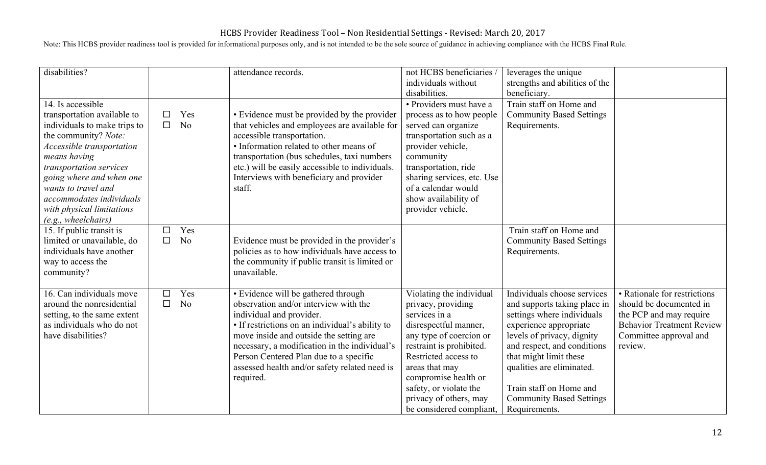| disabilities?                                                                                                                                                                                                                                                                                                       |                  |                       | attendance records.                                                                                                                                                                                                                                                                                                                                             | not HCBS beneficiaries<br>individuals without<br>disabilities.                                                                                                                                                                                                                                    | leverages the unique<br>strengths and abilities of the<br>beneficiary.                                                                                                                                                                                                                                                 |                                                                                                                                                             |
|---------------------------------------------------------------------------------------------------------------------------------------------------------------------------------------------------------------------------------------------------------------------------------------------------------------------|------------------|-----------------------|-----------------------------------------------------------------------------------------------------------------------------------------------------------------------------------------------------------------------------------------------------------------------------------------------------------------------------------------------------------------|---------------------------------------------------------------------------------------------------------------------------------------------------------------------------------------------------------------------------------------------------------------------------------------------------|------------------------------------------------------------------------------------------------------------------------------------------------------------------------------------------------------------------------------------------------------------------------------------------------------------------------|-------------------------------------------------------------------------------------------------------------------------------------------------------------|
| 14. Is accessible<br>transportation available to<br>individuals to make trips to<br>the community? Note:<br>Accessible transportation<br>means having<br>transportation services<br>going where and when one<br>wants to travel and<br>accommodates individuals<br>with physical limitations<br>(e.g., wheelchairs) | □<br>$\Box$      | Yes<br>N <sub>o</sub> | • Evidence must be provided by the provider<br>that vehicles and employees are available for<br>accessible transportation.<br>• Information related to other means of<br>transportation (bus schedules, taxi numbers<br>etc.) will be easily accessible to individuals.<br>Interviews with beneficiary and provider<br>staff.                                   | • Providers must have a<br>process as to how people<br>served can organize<br>transportation such as a<br>provider vehicle,<br>community<br>transportation, ride<br>sharing services, etc. Use<br>of a calendar would<br>show availability of<br>provider vehicle.                                | Train staff on Home and<br><b>Community Based Settings</b><br>Requirements.                                                                                                                                                                                                                                            |                                                                                                                                                             |
| 15. If public transit is<br>limited or unavailable, do<br>individuals have another<br>way to access the<br>community?                                                                                                                                                                                               | $\Box$<br>$\Box$ | Yes<br>N <sub>o</sub> | Evidence must be provided in the provider's<br>policies as to how individuals have access to<br>the community if public transit is limited or<br>unavailable.                                                                                                                                                                                                   |                                                                                                                                                                                                                                                                                                   | Train staff on Home and<br><b>Community Based Settings</b><br>Requirements.                                                                                                                                                                                                                                            |                                                                                                                                                             |
| 16. Can individuals move<br>around the nonresidential<br>setting, to the same extent<br>as individuals who do not<br>have disabilities?                                                                                                                                                                             | □<br>$\Box$      | Yes<br>N <sub>o</sub> | • Evidence will be gathered through<br>observation and/or interview with the<br>individual and provider.<br>• If restrictions on an individual's ability to<br>move inside and outside the setting are<br>necessary, a modification in the individual's<br>Person Centered Plan due to a specific<br>assessed health and/or safety related need is<br>required. | Violating the individual<br>privacy, providing<br>services in a<br>disrespectful manner,<br>any type of coercion or<br>restraint is prohibited.<br>Restricted access to<br>areas that may<br>compromise health or<br>safety, or violate the<br>privacy of others, may<br>be considered compliant, | Individuals choose services<br>and supports taking place in<br>settings where individuals<br>experience appropriate<br>levels of privacy, dignity<br>and respect, and conditions<br>that might limit these<br>qualities are eliminated.<br>Train staff on Home and<br><b>Community Based Settings</b><br>Requirements. | • Rationale for restrictions<br>should be documented in<br>the PCP and may require<br><b>Behavior Treatment Review</b><br>Committee approval and<br>review. |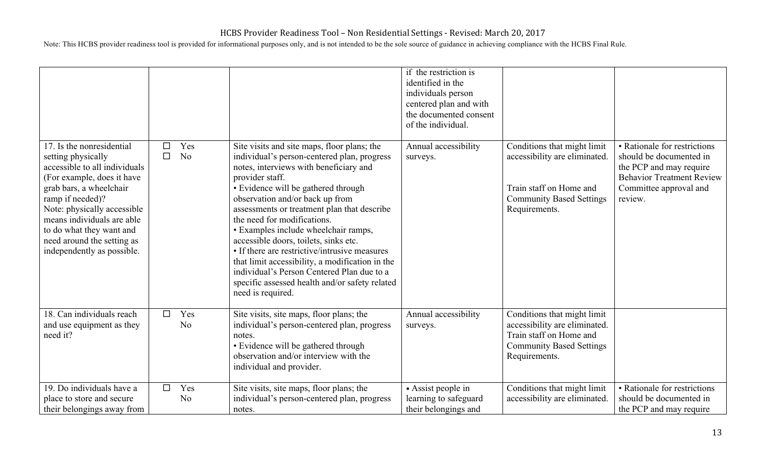|                                                                                                                                                                                                                                                                                                                    |                  |                       |                                                                                                                                                                                                                                                                                                                                                                                                                                                                                                                                                                                                                           | if the restriction is<br>identified in the<br>individuals person<br>centered plan and with<br>the documented consent<br>of the individual. |                                                                                                                                             |                                                                                                                                                             |
|--------------------------------------------------------------------------------------------------------------------------------------------------------------------------------------------------------------------------------------------------------------------------------------------------------------------|------------------|-----------------------|---------------------------------------------------------------------------------------------------------------------------------------------------------------------------------------------------------------------------------------------------------------------------------------------------------------------------------------------------------------------------------------------------------------------------------------------------------------------------------------------------------------------------------------------------------------------------------------------------------------------------|--------------------------------------------------------------------------------------------------------------------------------------------|---------------------------------------------------------------------------------------------------------------------------------------------|-------------------------------------------------------------------------------------------------------------------------------------------------------------|
| 17. Is the nonresidential<br>setting physically<br>accessible to all individuals<br>(For example, does it have<br>grab bars, a wheelchair<br>ramp if needed)?<br>Note: physically accessible<br>means individuals are able<br>to do what they want and<br>need around the setting as<br>independently as possible. | $\Box$<br>$\Box$ | Yes<br>N <sub>o</sub> | Site visits and site maps, floor plans; the<br>individual's person-centered plan, progress<br>notes, interviews with beneficiary and<br>provider staff.<br>• Evidence will be gathered through<br>observation and/or back up from<br>assessments or treatment plan that describe<br>the need for modifications.<br>• Examples include wheelchair ramps,<br>accessible doors, toilets, sinks etc.<br>• If there are restrictive/intrusive measures<br>that limit accessibility, a modification in the<br>individual's Person Centered Plan due to a<br>specific assessed health and/or safety related<br>need is required. | Annual accessibility<br>surveys.                                                                                                           | Conditions that might limit<br>accessibility are eliminated.<br>Train staff on Home and<br><b>Community Based Settings</b><br>Requirements. | • Rationale for restrictions<br>should be documented in<br>the PCP and may require<br><b>Behavior Treatment Review</b><br>Committee approval and<br>review. |
| 18. Can individuals reach<br>and use equipment as they<br>need it?                                                                                                                                                                                                                                                 | $\Box$           | Yes<br>N <sub>o</sub> | Site visits, site maps, floor plans; the<br>individual's person-centered plan, progress<br>notes.<br>• Evidence will be gathered through<br>observation and/or interview with the<br>individual and provider.                                                                                                                                                                                                                                                                                                                                                                                                             | Annual accessibility<br>surveys.                                                                                                           | Conditions that might limit<br>accessibility are eliminated.<br>Train staff on Home and<br><b>Community Based Settings</b><br>Requirements. |                                                                                                                                                             |
| 19. Do individuals have a<br>place to store and secure<br>their belongings away from                                                                                                                                                                                                                               | □                | Yes<br>N <sub>o</sub> | Site visits, site maps, floor plans; the<br>individual's person-centered plan, progress<br>notes.                                                                                                                                                                                                                                                                                                                                                                                                                                                                                                                         | • Assist people in<br>learning to safeguard<br>their belongings and                                                                        | Conditions that might limit<br>accessibility are eliminated.                                                                                | • Rationale for restrictions<br>should be documented in<br>the PCP and may require                                                                          |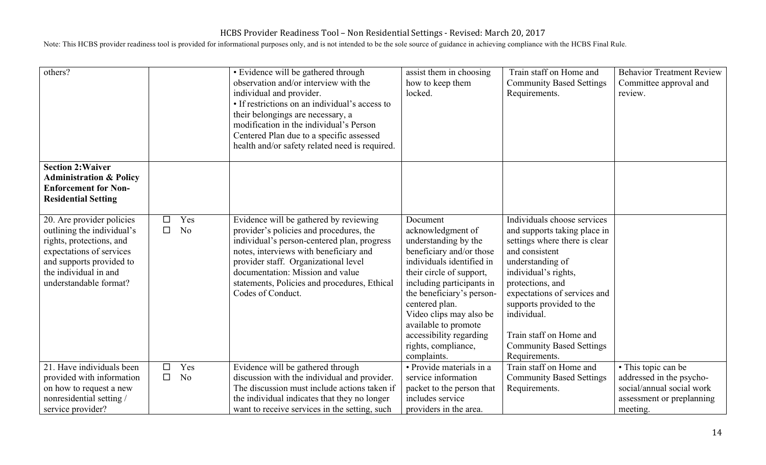| others?                                                                                                                                                                                        |                  |                       | • Evidence will be gathered through<br>observation and/or interview with the<br>individual and provider.<br>• If restrictions on an individual's access to<br>their belongings are necessary, a<br>modification in the individual's Person<br>Centered Plan due to a specific assessed<br>health and/or safety related need is required. | assist them in choosing<br>how to keep them<br>locked.                                                                                                                                                                                                                                                                                     | Train staff on Home and<br><b>Community Based Settings</b><br>Requirements.                                                                                                                                                                                                                                                              | <b>Behavior Treatment Review</b><br>Committee approval and<br>review. |
|------------------------------------------------------------------------------------------------------------------------------------------------------------------------------------------------|------------------|-----------------------|------------------------------------------------------------------------------------------------------------------------------------------------------------------------------------------------------------------------------------------------------------------------------------------------------------------------------------------|--------------------------------------------------------------------------------------------------------------------------------------------------------------------------------------------------------------------------------------------------------------------------------------------------------------------------------------------|------------------------------------------------------------------------------------------------------------------------------------------------------------------------------------------------------------------------------------------------------------------------------------------------------------------------------------------|-----------------------------------------------------------------------|
| <b>Section 2: Waiver</b><br><b>Administration &amp; Policy</b><br><b>Enforcement for Non-</b><br><b>Residential Setting</b>                                                                    |                  |                       |                                                                                                                                                                                                                                                                                                                                          |                                                                                                                                                                                                                                                                                                                                            |                                                                                                                                                                                                                                                                                                                                          |                                                                       |
| 20. Are provider policies<br>outlining the individual's<br>rights, protections, and<br>expectations of services<br>and supports provided to<br>the individual in and<br>understandable format? | $\Box$<br>$\Box$ | Yes<br>N <sub>o</sub> | Evidence will be gathered by reviewing<br>provider's policies and procedures, the<br>individual's person-centered plan, progress<br>notes, interviews with beneficiary and<br>provider staff. Organizational level<br>documentation: Mission and value<br>statements, Policies and procedures, Ethical<br>Codes of Conduct.              | Document<br>acknowledgment of<br>understanding by the<br>beneficiary and/or those<br>individuals identified in<br>their circle of support,<br>including participants in<br>the beneficiary's person-<br>centered plan.<br>Video clips may also be<br>available to promote<br>accessibility regarding<br>rights, compliance,<br>complaints. | Individuals choose services<br>and supports taking place in<br>settings where there is clear<br>and consistent<br>understanding of<br>individual's rights,<br>protections, and<br>expectations of services and<br>supports provided to the<br>individual.<br>Train staff on Home and<br><b>Community Based Settings</b><br>Requirements. |                                                                       |
| 21. Have individuals been<br>provided with information                                                                                                                                         | $\Box$<br>□      | Yes<br>N <sub>o</sub> | Evidence will be gathered through<br>discussion with the individual and provider.                                                                                                                                                                                                                                                        | · Provide materials in a<br>service information                                                                                                                                                                                                                                                                                            | Train staff on Home and<br><b>Community Based Settings</b>                                                                                                                                                                                                                                                                               | • This topic can be<br>addressed in the psycho-                       |
| on how to request a new<br>nonresidential setting/<br>service provider?                                                                                                                        |                  |                       | The discussion must include actions taken if<br>the individual indicates that they no longer<br>want to receive services in the setting, such                                                                                                                                                                                            | packet to the person that<br>includes service<br>providers in the area.                                                                                                                                                                                                                                                                    | Requirements.                                                                                                                                                                                                                                                                                                                            | social/annual social work<br>assessment or preplanning<br>meeting.    |